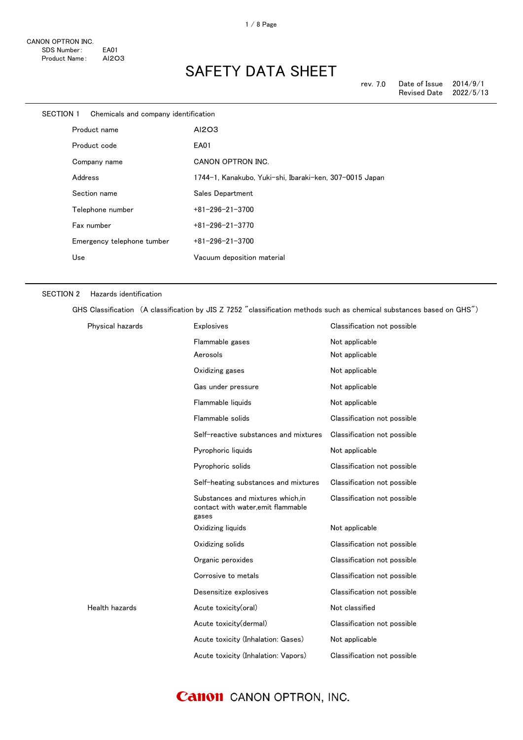| SECTION 1 | Chemicals and company identification |                                                         |
|-----------|--------------------------------------|---------------------------------------------------------|
|           | Product name                         | AI2O3                                                   |
|           | Product code                         | EA01                                                    |
|           | Company name                         | CANON OPTRON INC.                                       |
|           | Address                              | 1744-1, Kanakubo, Yuki-shi, Ibaraki-ken, 307-0015 Japan |
|           | Section name                         | Sales Department                                        |
|           | Telephone number                     | $+81 - 296 - 21 - 3700$                                 |
|           | Fax number                           | $+81 - 296 - 21 - 3770$                                 |
|           | Emergency telephone tumber           | $+81 - 296 - 21 - 3700$                                 |
|           | Use                                  | Vacuum deposition material                              |
|           |                                      |                                                         |

#### SECTION 2 Hazards identification

GHS Classification (A classification by JIS Z 7252 "classification methods such as chemical substances based on GHS")

| Physical hazards | <b>Explosives</b>                                                               | Classification not possible |
|------------------|---------------------------------------------------------------------------------|-----------------------------|
|                  | Flammable gases                                                                 | Not applicable              |
|                  | Aerosols                                                                        | Not applicable              |
|                  | Oxidizing gases                                                                 | Not applicable              |
|                  | Gas under pressure                                                              | Not applicable              |
|                  | Flammable liquids                                                               | Not applicable              |
|                  | Flammable solids                                                                | Classification not possible |
|                  | Self-reactive substances and mixtures                                           | Classification not possible |
|                  | Pyrophoric liquids                                                              | Not applicable              |
|                  | Pyrophoric solids                                                               | Classification not possible |
|                  | Self-heating substances and mixtures                                            | Classification not possible |
|                  | Substances and mixtures which.in<br>contact with water, emit flammable<br>gases | Classification not possible |
|                  | Oxidizing liquids                                                               | Not applicable              |
|                  | Oxidizing solids                                                                | Classification not possible |
|                  | Organic peroxides                                                               | Classification not possible |
|                  | Corrosive to metals                                                             | Classification not possible |
|                  | Desensitize explosives                                                          | Classification not possible |
| Health hazards   | Acute toxicity(oral)                                                            | Not classified              |
|                  | Acute toxicity(dermal)                                                          | Classification not possible |
|                  | Acute toxicity (Inhalation: Gases)                                              | Not applicable              |
|                  | Acute toxicity (Inhalation: Vapors)                                             | Classification not possible |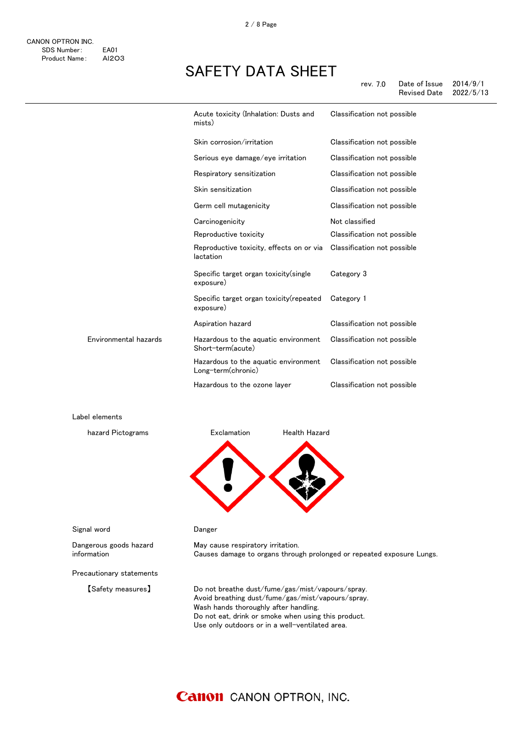|                       | Acute toxicity (Inhalation: Dusts and<br>mists)            | Classification not possible |
|-----------------------|------------------------------------------------------------|-----------------------------|
|                       | Skin corrosion/irritation                                  | Classification not possible |
|                       | Serious eye damage/eye irritation                          | Classification not possible |
|                       | Respiratory sensitization                                  | Classification not possible |
|                       | Skin sensitization                                         | Classification not possible |
|                       | Germ cell mutagenicity                                     | Classification not possible |
|                       | Carcinogenicity                                            | Not classified              |
|                       | Reproductive toxicity                                      | Classification not possible |
|                       | Reproductive toxicity, effects on or via<br>lactation      | Classification not possible |
|                       | Specific target organ toxicity(single<br>exposure)         | Category 3                  |
|                       | Specific target organ toxicity (repeated<br>exposure)      | Category 1                  |
|                       | Aspiration hazard                                          | Classification not possible |
| Environmental hazards | Hazardous to the aquatic environment<br>Short-term(acute)  | Classification not possible |
|                       | Hazardous to the aquatic environment<br>Long-term(chronic) | Classification not possible |
|                       | Hazardous to the ozone layer                               | Classification not possible |

Label elements



#### Signal word **Danger**

Dangerous goods hazard information

May cause respiratory irritation. Causes damage to organs through prolonged or repeated exposure Lungs.

Precautionary statements

【Safety measures】 Do not breathe dust/fume/gas/mist/vapours/spray. Avoid breathing dust/fume/gas/mist/vapours/spray. Wash hands thoroughly after handling. Do not eat, drink or smoke when using this product. Use only outdoors or in a well-ventilated area.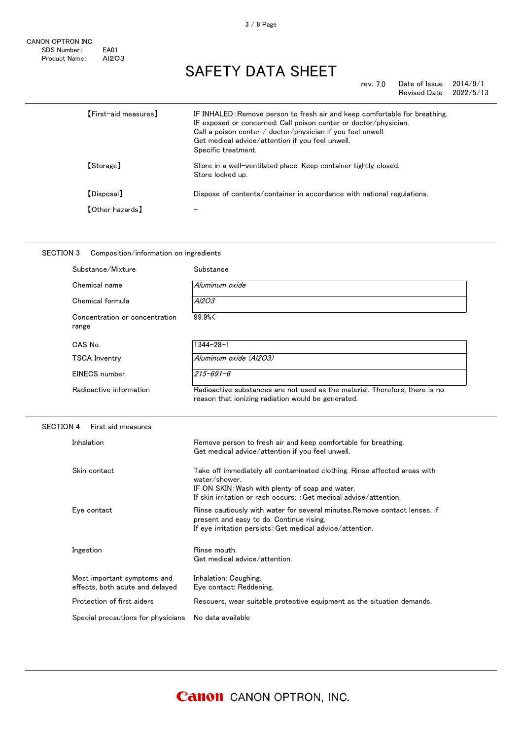rev. 7.0 Date of Issue 2014/9/1<br>Revised Date 2022/5/13 Revised Date

| [First-aid measures] | IF INHALED: Remove person to fresh air and keep comfortable for breathing.<br>IF exposed or concerned: Call poison center or doctor/physician.<br>Call a poison center $\ell$ doctor/physician if you feel unwell.<br>Get medical advice/attention if you feel unwell.<br>Specific treatment. |
|----------------------|-----------------------------------------------------------------------------------------------------------------------------------------------------------------------------------------------------------------------------------------------------------------------------------------------|
| 【Storage】            | Store in a well-ventilated place. Keep container tightly closed.<br>Store locked up.                                                                                                                                                                                                          |
| [Disposal]           | Dispose of contents/container in accordance with national regulations.                                                                                                                                                                                                                        |
| 【Other hazards】      |                                                                                                                                                                                                                                                                                               |

| SECTION 3<br>Composition/information on ingredients |                                                                                                                                   |  |  |
|-----------------------------------------------------|-----------------------------------------------------------------------------------------------------------------------------------|--|--|
| Substance/Mixture                                   | Substance                                                                                                                         |  |  |
| Chemical name                                       | Aluminum oxide                                                                                                                    |  |  |
| Chemical formula                                    | A <sub>1203</sub>                                                                                                                 |  |  |
| Concentration or concentration<br>range             | 99.9%<                                                                                                                            |  |  |
| CAS No.                                             | $1344 - 28 - 1$                                                                                                                   |  |  |
| <b>TSCA Inventry</b>                                | Aluminum oxide (Al2O3)                                                                                                            |  |  |
| EINECS number                                       | $215 - 691 - 6$                                                                                                                   |  |  |
| Radioactive information                             | Radioactive substances are not used as the material. Therefore, there is no<br>reason that ionizing radiation would be generated. |  |  |

#### SECTION 4 First aid measures

| Inhalation                                                     | Remove person to fresh air and keep comfortable for breathing.<br>Get medical advice/attention if you feel unwell.                                                                                                  |
|----------------------------------------------------------------|---------------------------------------------------------------------------------------------------------------------------------------------------------------------------------------------------------------------|
| Skin contact                                                   | Take off immediately all contaminated clothing. Rinse affected areas with<br>water/shower.<br>IF ON SKIN: Wash with plenty of soap and water.<br>If skin irritation or rash occurs: : Get medical advice/attention. |
| Eye contact                                                    | Rinse cautiously with water for several minutes. Remove contact lenses, if<br>present and easy to do. Continue rising.<br>If eye irritation persists: Get medical advice/attention.                                 |
| Ingestion                                                      | Rinse mouth.<br>Get medical advice/attention.                                                                                                                                                                       |
| Most important symptoms and<br>effects, both acute and delayed | Inhalation: Coughing.<br>Eye contact: Reddening.                                                                                                                                                                    |
| Protection of first aiders                                     | Rescuers, wear suitable protective equipment as the situation demands.                                                                                                                                              |
| Special precautions for physicians                             | No data available                                                                                                                                                                                                   |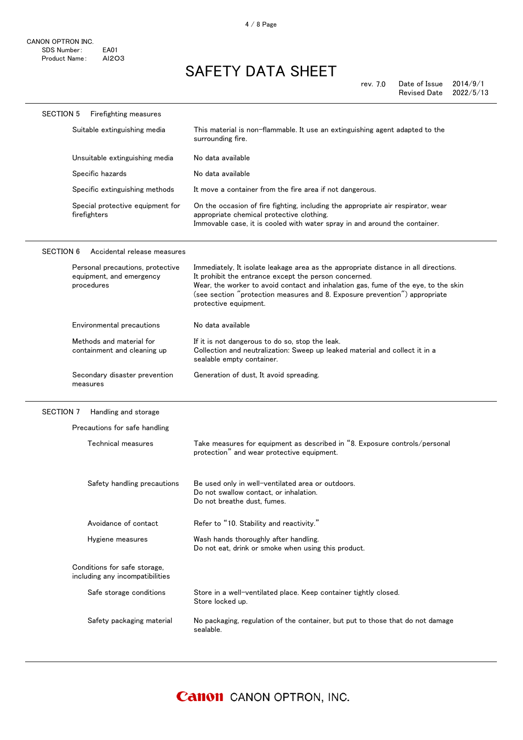| <b>SECTION 5</b> | Firefighting measures                                                      |                                                                                                                                                                                                                                                                                                                                           |
|------------------|----------------------------------------------------------------------------|-------------------------------------------------------------------------------------------------------------------------------------------------------------------------------------------------------------------------------------------------------------------------------------------------------------------------------------------|
|                  | Suitable extinguishing media                                               | This material is non-flammable. It use an extinguishing agent adapted to the<br>surrounding fire.                                                                                                                                                                                                                                         |
|                  | Unsuitable extinguishing media                                             | No data available                                                                                                                                                                                                                                                                                                                         |
|                  | Specific hazards                                                           | No data available                                                                                                                                                                                                                                                                                                                         |
|                  | Specific extinguishing methods                                             | It move a container from the fire area if not dangerous.                                                                                                                                                                                                                                                                                  |
|                  | Special protective equipment for<br>firefighters                           | On the occasion of fire fighting, including the appropriate air respirator, wear<br>appropriate chemical protective clothing.<br>Immovable case, it is cooled with water spray in and around the container.                                                                                                                               |
| <b>SECTION 6</b> | Accidental release measures                                                |                                                                                                                                                                                                                                                                                                                                           |
|                  | Personal precautions, protective<br>equipment, and emergency<br>procedures | Immediately, It isolate leakage area as the appropriate distance in all directions.<br>It prohibit the entrance except the person concerned.<br>Wear, the worker to avoid contact and inhalation gas, fume of the eye, to the skin<br>(see section "protection measures and 8. Exposure prevention") appropriate<br>protective equipment. |
|                  | Environmental precautions                                                  | No data available                                                                                                                                                                                                                                                                                                                         |
|                  | Methods and material for<br>containment and cleaning up                    | If it is not dangerous to do so, stop the leak.<br>Collection and neutralization: Sweep up leaked material and collect it in a<br>sealable empty container.                                                                                                                                                                               |
|                  | Secondary disaster prevention<br>measures                                  | Generation of dust, It avoid spreading.                                                                                                                                                                                                                                                                                                   |
| SECTION 7        | Handling and storage                                                       |                                                                                                                                                                                                                                                                                                                                           |
|                  | Precautions for safe handling                                              |                                                                                                                                                                                                                                                                                                                                           |
|                  | Technical measures                                                         | Take measures for equipment as described in "8. Exposure controls/personal<br>protection" and wear protective equipment.                                                                                                                                                                                                                  |
|                  | Safety handling precautions                                                | Be used only in well-ventilated area or outdoors.<br>Do not swallow contact, or inhalation.<br>Do not breathe dust, fumes.                                                                                                                                                                                                                |
|                  | Avoidance of contact                                                       | Refer to "10. Stability and reactivity."                                                                                                                                                                                                                                                                                                  |
|                  | Hygiene measures                                                           | Wash hands thoroughly after handling.<br>Do not eat, drink or smoke when using this product.                                                                                                                                                                                                                                              |
|                  | Conditions for safe storage,<br>including any incompatibilities            |                                                                                                                                                                                                                                                                                                                                           |
|                  | Safe storage conditions                                                    | Store in a well-ventilated place. Keep container tightly closed.<br>Store locked up.                                                                                                                                                                                                                                                      |
|                  | Safety packaging material                                                  | No packaging, regulation of the container, but put to those that do not damage<br>sealable.                                                                                                                                                                                                                                               |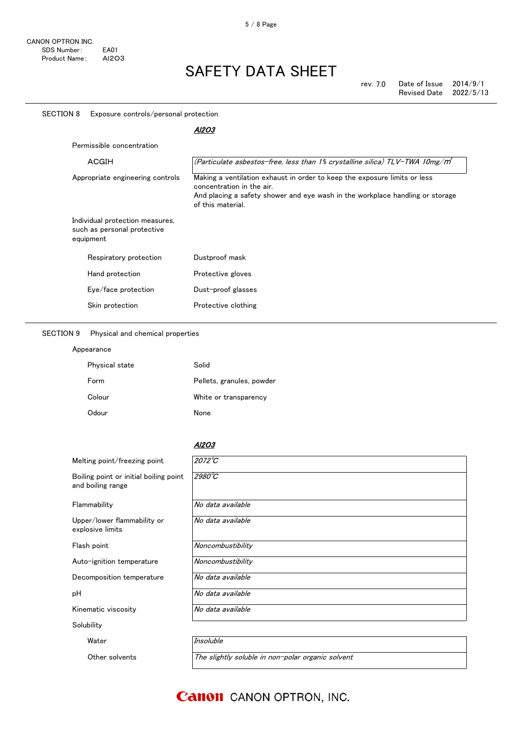| <b>SECTION 8</b><br>Exposure controls/personal protection                   |                                                                                                                                                                                                              |  |
|-----------------------------------------------------------------------------|--------------------------------------------------------------------------------------------------------------------------------------------------------------------------------------------------------------|--|
|                                                                             | Al2O3                                                                                                                                                                                                        |  |
| Permissible concentration                                                   |                                                                                                                                                                                                              |  |
| ACGIH                                                                       | (Particulate asbestos-free, less than 1% crystalline silica) TLV-TWA 10mg/m <sup>3</sup>                                                                                                                     |  |
| Appropriate engineering controls                                            | Making a ventilation exhaust in order to keep the exposure limits or less<br>concentration in the air.<br>And placing a safety shower and eye wash in the workplace handling or storage<br>of this material. |  |
| Individual protection measures,<br>such as personal protective<br>equipment |                                                                                                                                                                                                              |  |
| Respiratory protection                                                      | Dustproof mask                                                                                                                                                                                               |  |
| Hand protection                                                             | Protective gloves                                                                                                                                                                                            |  |
| Eye/face protection                                                         | Dust-proof glasses                                                                                                                                                                                           |  |
| Skin protection                                                             | Protective clothing                                                                                                                                                                                          |  |

SECTION 9 Physical and chemical properties

Appearance

| Physical state | Solid                     |
|----------------|---------------------------|
| Form           | Pellets, granules, powder |
| Colour         | White or transparency     |
| Odour          | None                      |

### Al2O3

| Melting point/freezing point                                | $2072^{\circ}C$   |
|-------------------------------------------------------------|-------------------|
| Boiling point or initial boiling point<br>and boiling range | $2980^{\circ}$ C  |
| Flammability                                                | No data available |
| Upper/lower flammability or<br>explosive limits             | No data available |
| Flash point                                                 | Noncombustibility |
| Auto-ignition temperature                                   | Noncombustibility |
| Decomposition temperature                                   | No data available |
| рH                                                          | No data available |
| Kinematic viscosity                                         | No data available |
| Solubility                                                  |                   |
| Water                                                       | Insoluble         |

Other solvents The slightly soluble in non-polar organic solvent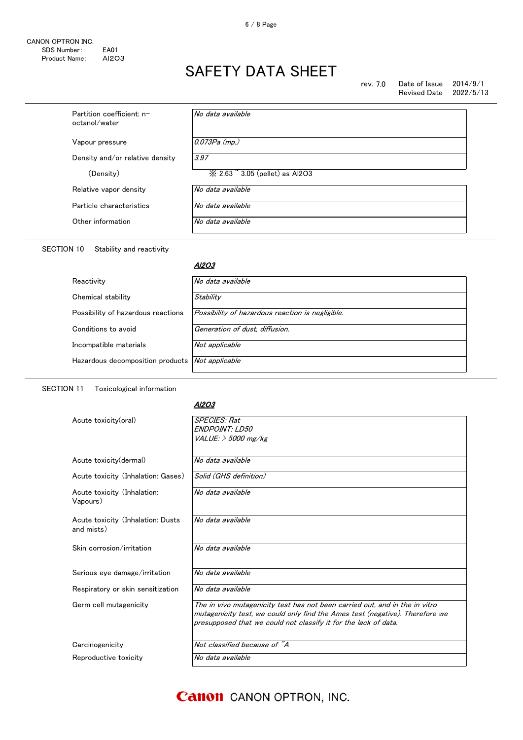#### rev. 7.0 Date of Issue 2014/9/1<br>Revised Date 2022/5/13 Revised Date

| Partition coefficient: n-<br>octanol/water | No data available               |
|--------------------------------------------|---------------------------------|
| Vapour pressure                            | $0.073Pa$ (mp.)                 |
| Density and/or relative density            | 3.97                            |
| (Density)                                  | ※ 2.63 ~ 3.05 (pellet) as Al2O3 |
| Relative vapor density                     | No data available               |
| Particle characteristics                   | No data available               |
| Other information                          | No data available               |
|                                            |                                 |

### SECTION 10 Stability and reactivity

#### <u>Al2O3</u>

| Reactivity                         | No data available                                |
|------------------------------------|--------------------------------------------------|
| Chemical stability                 | Stability                                        |
| Possibility of hazardous reactions | Possibility of hazardous reaction is negligible. |
| Conditions to avoid                | Generation of dust, diffusion.                   |
| Incompatible materials             | Not applicable                                   |
| Hazardous decomposition products   | Not applicable                                   |
|                                    |                                                  |

SECTION 11 Toxicological information

#### Al2O3

| Acute toxicity(oral)                            | <b>SPECIES: Rat</b><br><b>ENDPOINT: LD50</b>                                                                                                                                                                                   |
|-------------------------------------------------|--------------------------------------------------------------------------------------------------------------------------------------------------------------------------------------------------------------------------------|
|                                                 | $VALUE:$ $>$ 5000 mg/kg                                                                                                                                                                                                        |
|                                                 |                                                                                                                                                                                                                                |
| Acute toxicity (dermal)                         | No data available                                                                                                                                                                                                              |
| Acute toxicity (Inhalation: Gases)              | Solid (GHS definition)                                                                                                                                                                                                         |
| Acute toxicity (Inhalation:<br>Vapours)         | No data available                                                                                                                                                                                                              |
| Acute toxicity (Inhalation: Dusts<br>and mists) | No data available                                                                                                                                                                                                              |
| Skin corrosion/irritation                       | No data available                                                                                                                                                                                                              |
| Serious eye damage/irritation                   | No data available                                                                                                                                                                                                              |
| Respiratory or skin sensitization               | No data available                                                                                                                                                                                                              |
| Germ cell mutagenicity                          | The in vivo mutagenicity test has not been carried out, and in the in vitro<br>mutagenicity test, we could only find the Ames test (negative). Therefore we<br>presupposed that we could not classify it for the lack of data. |
| Carcinogenicity                                 | Not classified because of "A                                                                                                                                                                                                   |
| Reproductive toxicity                           | No data available                                                                                                                                                                                                              |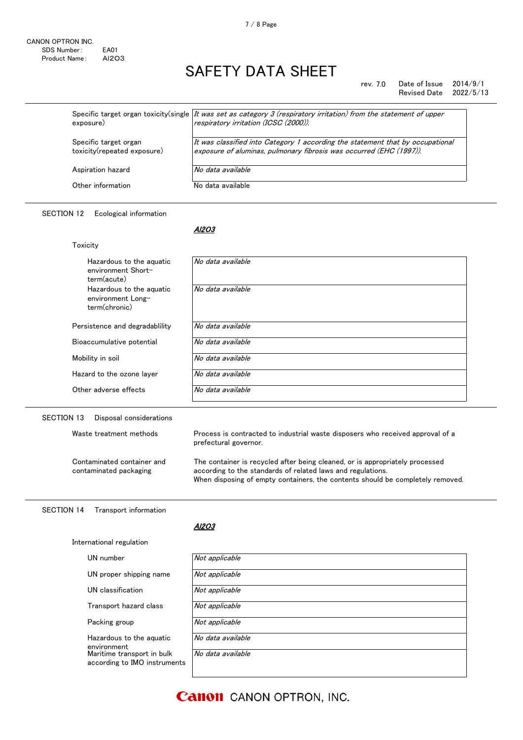#### rev. 7.0 Date of Issue 2014/9/1 Revised Date 2022/5/13

| exposure)                                            | Specific target organ toxicity(single   It was set as category 3 (respiratory irritation) from the statement of upper<br>respiratory irritation (ICSC (2000)). |
|------------------------------------------------------|----------------------------------------------------------------------------------------------------------------------------------------------------------------|
| Specific target organ<br>toxicity(repeated exposure) | It was classified into Category 1 according the statement that by occupational<br>exposure of aluminas, pulmonary fibrosis was occurred (EHC (1997)).          |
| Aspiration hazard                                    | No data available                                                                                                                                              |
| Other information                                    | No data available                                                                                                                                              |

## SECTION 12 Ecological information

Toxicity

Al2O3

| Hazardous to the aguatic<br>environment Short-<br>term(acute)  | No data available |
|----------------------------------------------------------------|-------------------|
| Hazardous to the aquatic<br>environment Long-<br>term(chronic) | No data available |
| Persistence and degradability                                  | No data available |
| Bioaccumulative potential                                      | No data available |
| Mobility in soil                                               | No data available |
| Hazard to the ozone layer                                      | No data available |
| Other adverse effects                                          | No data available |

## SECTION 13 Disposal considerations

Contaminated container and contaminated packaging

Waste treatment methods **Process** is contracted to industrial waste disposers who received approval of a prefectural governor.

> The container is recycled after being cleaned, or is appropriately processed according to the standards of related laws and regulations. When disposing of empty containers, the contents should be completely removed.

#### SECTION 14 Transport information

International regulation

Al2O3

| UN number<br>Not applicable                                                     |  |
|---------------------------------------------------------------------------------|--|
|                                                                                 |  |
| Not applicable<br>UN proper shipping name                                       |  |
| Not applicable<br>UN classification                                             |  |
| Not applicable<br>Transport hazard class                                        |  |
| Not applicable<br>Packing group                                                 |  |
| No data available<br>Hazardous to the aguatic<br>environment                    |  |
| Maritime transport in bulk<br>No data available<br>according to IMO instruments |  |